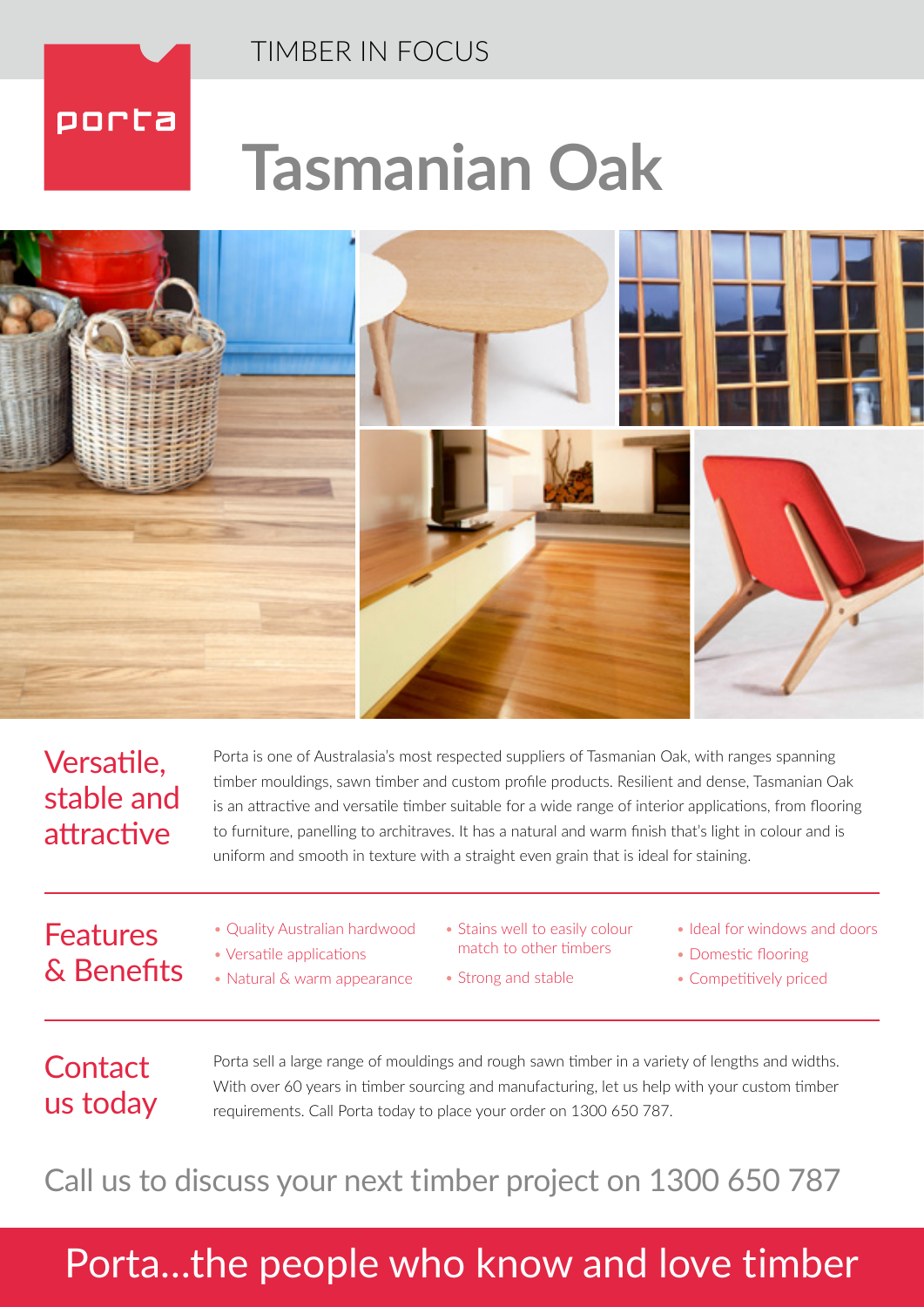

# **Tasmanian Oak**



### Versatile, stable and attractive

Porta is one of Australasia's most respected suppliers of Tasmanian Oak, with ranges spanning timber mouldings, sawn timber and custom profile products. Resilient and dense, Tasmanian Oak is an attractive and versatile timber suitable for a wide range of interior applications, from flooring to furniture, panelling to architraves. It has a natural and warm finish that's light in colour and is uniform and smooth in texture with a straight even grain that is ideal for staining.

### Features & Benefits

- Quality Australian hardwood
- Versatile applications
- Natural & warm appearance
- Stains well to easily colour match to other timbers
- Strong and stable
- Ideal for windows and doors
- Domestic flooring
- Competitively priced

### **Contact** us today

Porta sell a large range of mouldings and rough sawn timber in a variety of lengths and widths. With over 60 years in timber sourcing and manufacturing, let us help with your custom timber requirements. Call Porta today to place your order on 1300 650 787.

Call us to discuss your next timber project on 1300 650 787

## Porta…the people who know and love timber